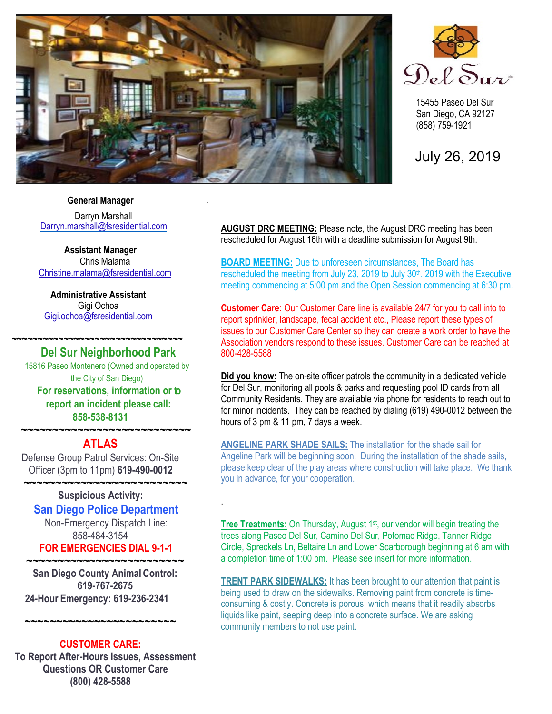

.

.



15455 Paseo Del Sur San Diego, CA 92127 (858) 759-1921

July 26, 2019

### **General Manager**

Darryn Marshall [Darryn.marshall@fsresidential.com](mailto:Darryn.marshall@fsresidential.com)

**Assistant Manager** Chris Malama [Christine.malama@fsresidential.com](mailto:Christine.malama@fsresidential.com)

**Administrative Assistant**  Gigi Ochoa [Gigi.ochoa@fsresidential.com](mailto:Gigi.ochoa@fsresidential.com)

**~~~~~~~~~~~~~~~~~~~~~~~~~~~~~~~~~**

### **Del Sur Neighborhood Park**

15816 Paseo Montenero (Owned and operated by the City of San Diego) **For reservations, information or to report an incident please call: 858-538-8131**

### **~~~~~~~~~~~~~~~~~~~~~~~~~~~ ATLAS**

Defense Group Patrol Services: On-Site Officer (3pm to 11pm) **619-490-0012**

### **~~~~~~~~~~~~~~~~~~~~~~~~~~ Suspicious Activity: San Diego Police Department** Non-Emergency Dispatch Line:

858-484-3154 **FOR EMERGENCIES DIAL 9-1-1 ~~~~~~~~~~~~~~~~~~~~~~~~~**

**San Diego County Animal Control: 619-767-2675 24-Hour Emergency: 619-236-2341**

### **CUSTOMER CARE:**

**~~~~~~~~~~~~~~~~~~~~~~~~**

**To Report After-Hours Issues, Assessment Questions OR Customer Care (800) 428-5588**

**AUGUST DRC MEETING:** Please note, the August DRC meeting has been rescheduled for August 16th with a deadline submission for August 9th.

**BOARD MEETING:** Due to unforeseen circumstances, The Board has rescheduled the meeting from July 23, 2019 to July 30<sup>th</sup>, 2019 with the Executive meeting commencing at 5:00 pm and the Open Session commencing at 6:30 pm.

**Customer Care:** Our Customer Care line is available 24/7 for you to call into to report sprinkler, landscape, fecal accident etc., Please report these types of issues to our Customer Care Center so they can create a work order to have the Association vendors respond to these issues. Customer Care can be reached at 800-428-5588

**Did you know:** The on-site officer patrols the community in a dedicated vehicle for Del Sur, monitoring all pools & parks and requesting pool ID cards from all Community Residents. They are available via phone for residents to reach out to for minor incidents. They can be reached by dialing (619) 490-0012 between the hours of 3 pm & 11 pm, 7 days a week.

**ANGELINE PARK SHADE SAILS:** The installation for the shade sail for Angeline Park will be beginning soon. During the installation of the shade sails, please keep clear of the play areas where construction will take place. We thank you in advance, for your cooperation.

**Tree Treatments:** On Thursday, August 1<sup>st</sup>, our vendor will begin treating the trees along Paseo Del Sur, Camino Del Sur, Potomac Ridge, Tanner Ridge Circle, Spreckels Ln, Beltaire Ln and Lower Scarborough beginning at 6 am with a completion time of 1:00 pm. Please see insert for more information.

**TRENT PARK SIDEWALKS:** It has been brought to our attention that paint is being used to draw on the sidewalks. Removing paint from concrete is timeconsuming & costly. Concrete is porous, which means that it readily absorbs liquids like paint, seeping deep into a concrete surface. We are asking community members to not use paint.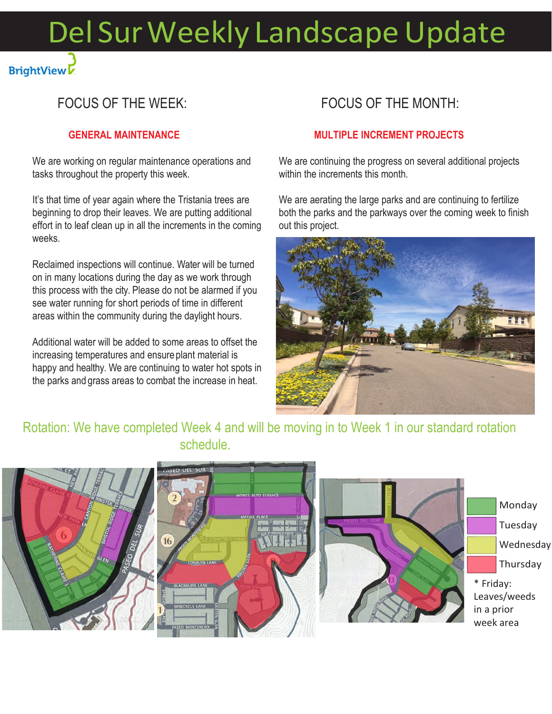# Del Sur Weekly Landscape Update

# FOCUS OF THE WEEK:

**BrightView** 

### **GENERAL MAINTENANCE**

We are working on regular maintenance operations and tasks throughout the property this week.

It's that time of year again where the Tristania trees are beginning to drop their leaves. We are putting additional effort in to leaf clean up in all the increments in the coming weeks.

Reclaimed inspections will continue. Water will be turned on in many locations during the day as we work through this process with the city. Please do not be alarmed if you see water running for short periods of time in different areas within the community during the daylight hours.

Additional water will be added to some areas to offset the increasing temperatures and ensure plant material is happy and healthy. We are continuing to water hot spots in the parks and grass areas to combat the increase in heat.

### FOCUS OF THE MONTH:

### **MULTIPLE INCREMENT PROJECTS**

We are continuing the progress on several additional projects within the increments this month.

We are aerating the large parks and are continuing to fertilize both the parks and the parkways over the coming week to finish out this project.



### Rotation: We have completed Week 4 and will be moving in to Week 1 in our standard rotation schedule.

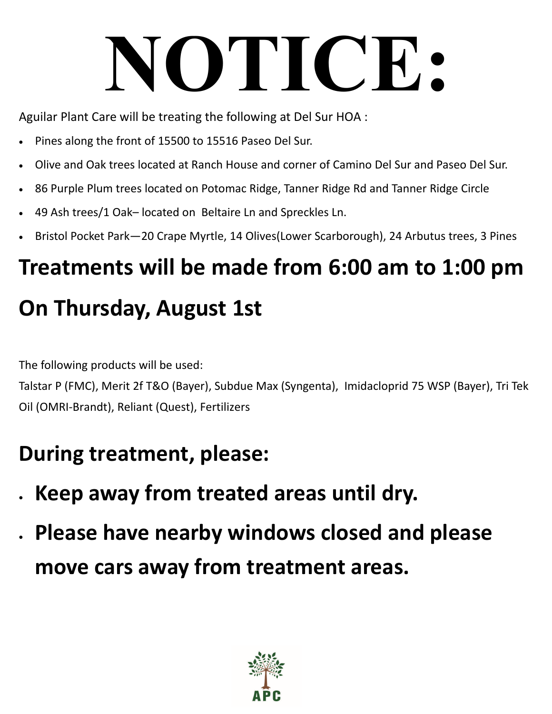# **NOTICE:**

Aguilar Plant Care will be treating the following at Del Sur HOA :

- Pines along the front of 15500 to 15516 Paseo Del Sur.
- Olive and Oak trees located at Ranch House and corner of Camino Del Sur and Paseo Del Sur.
- 86 Purple Plum trees located on Potomac Ridge, Tanner Ridge Rd and Tanner Ridge Circle
- 49 Ash trees/1 Oak– located on Beltaire Ln and Spreckles Ln.
- Bristol Pocket Park—20 Crape Myrtle, 14 Olives(Lower Scarborough), 24 Arbutus trees, 3 Pines

# **Treatments will be made from 6:00 am to 1:00 pm On Thursday, August 1st**

The following products will be used:

Talstar P (FMC), Merit 2f T&O (Bayer), Subdue Max (Syngenta), Imidacloprid 75 WSP (Bayer), Tri Tek Oil (OMRI‐Brandt), Reliant (Quest), Fertilizers

# **During treatment, please:**

- **Keep away from treated areas until dry.**
- **Please have nearby windows closed and please move cars away from treatment areas.**

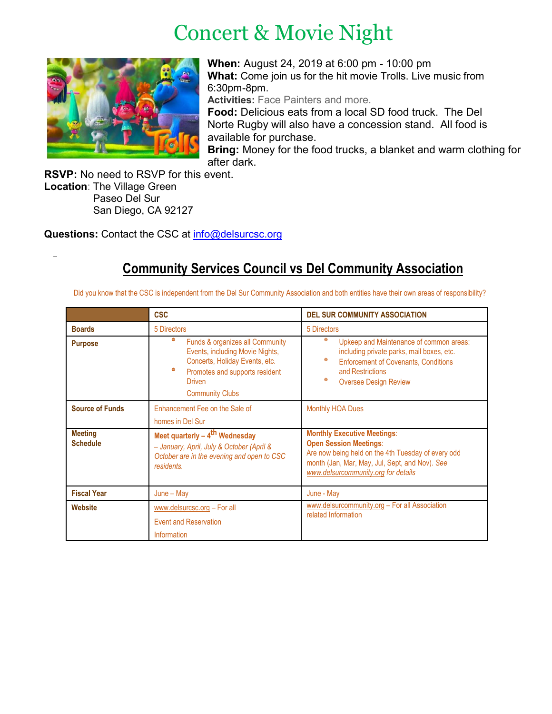# Concert & Movie Night



**When:** August 24, 2019 at 6:00 pm - 10:00 pm **What:** Come join us for the hit movie Trolls. Live music from 6:30pm-8pm.

**Activities:** Face Painters and more.

**Food:** Delicious eats from a local SD food truck. The Del Norte Rugby will also have a concession stand. All food is available for purchase.

**Bring:** Money for the food trucks, a blanket and warm clothing for after dark.

**RSVP:** No need to RSVP for this event. **Location**: The Village Green Paseo Del Sur San Diego, CA 92127

Questions: Contact the CSC at [info@delsurcsc.org](mailto:info@delsurcsc.org)

# **Community Services Council vs Del Community Association**

Did you know that the CSC is independent from the Del Sur Community Association and both entities have their own areas of responsibility?

|                                   | <b>CSC</b>                                                                                                                                                                                  | <b>DEL SUR COMMUNITY ASSOCIATION</b>                                                                                                                                                                               |
|-----------------------------------|---------------------------------------------------------------------------------------------------------------------------------------------------------------------------------------------|--------------------------------------------------------------------------------------------------------------------------------------------------------------------------------------------------------------------|
| <b>Boards</b>                     | 5 Directors                                                                                                                                                                                 | 5 Directors                                                                                                                                                                                                        |
| <b>Purpose</b>                    | 米<br>Funds & organizes all Community<br>Events, including Movie Nights,<br>Concerts, Holiday Events, etc.<br>豪<br>Promotes and supports resident<br><b>Driven</b><br><b>Community Clubs</b> | *<br>Upkeep and Maintenance of common areas:<br>including private parks, mail boxes, etc.<br>米<br><b>Enforcement of Covenants, Conditions</b><br>and Restrictions<br>∗<br><b>Oversee Design Review</b>             |
| <b>Source of Funds</b>            | Enhancement Fee on the Sale of<br>homes in Del Sur                                                                                                                                          | <b>Monthly HOA Dues</b>                                                                                                                                                                                            |
| <b>Meeting</b><br><b>Schedule</b> | Meet quarterly $-4$ <sup>th</sup> Wednesday<br>- January, April, July & October (April &<br>October are in the evening and open to CSC<br>residents.                                        | <b>Monthly Executive Meetings:</b><br><b>Open Session Meetings:</b><br>Are now being held on the 4th Tuesday of every odd<br>month (Jan, Mar, May, Jul, Sept, and Nov). See<br>www.delsurcommunity.org for details |
| <b>Fiscal Year</b>                | $June - May$                                                                                                                                                                                | June - May                                                                                                                                                                                                         |
| <b>Website</b>                    | www.delsurcsc.org - For all<br><b>Event and Reservation</b><br><b>Information</b>                                                                                                           | www.delsurcommunity.org - For all Association<br>related Information                                                                                                                                               |